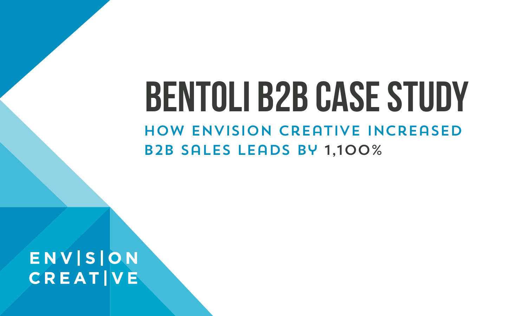# **Bentoli B2B Case Study** How Envision Creative Increased B2B Sales Leads by 1,100%

ENVISION **CREAT VE**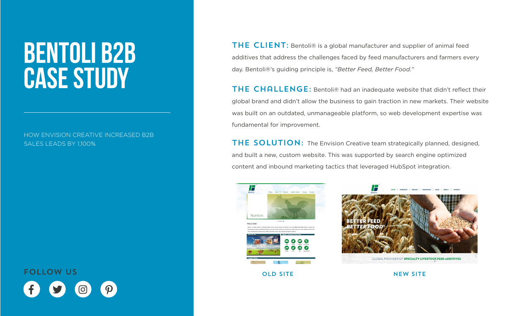# **Bentoli B2B Case Study**

HOW ENVISION CREATIVE INCREASED B2B SALES LEADS BY 1,100%

 $f$   $g$   $\odot$   $\rho$ FOLLOW US

THE CLIENT: Bentoli® is a global manufacturer and supplier of animal feed additives that address the challenges faced by feed manufacturers and farmers every day. Bentoli®'s guiding principle is, *"Better Feed, Better Food."*

THE CHALLENGE: Bentoli® had an inadequate website that didn't reflect their global brand and didn't allow the business to gain traction in new markets. Their website was built on an outdated, unmanageable platform, so web development expertise was fundamental for improvement.

THE SOLUTION: The Envision Creative team strategically planned, designed, and built a new, custom website. This was supported by search engine optimized content and inbound marketing tactics that leveraged HubSpot integration.



OLD SITE NEW SITE

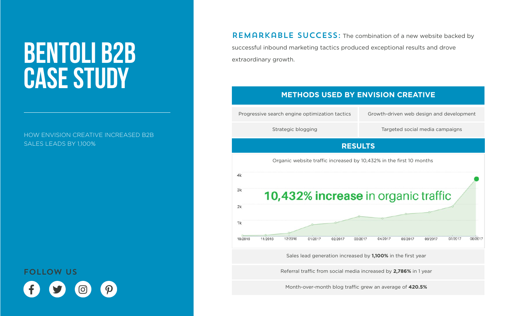# **Bentoli B2B Case Study**

HOW ENVISION CREATIVE INCREASED B2B SALES LEADS BY 1,100%

 $f$   $g$   $\odot$   $\rho$ FOLLOW US

REMARKABLE SUCCESS: The combination of a new website backed by successful inbound marketing tactics produced exceptional results and drove extraordinary growth.

#### **METHODS USED BY ENVISION CREATIVE**